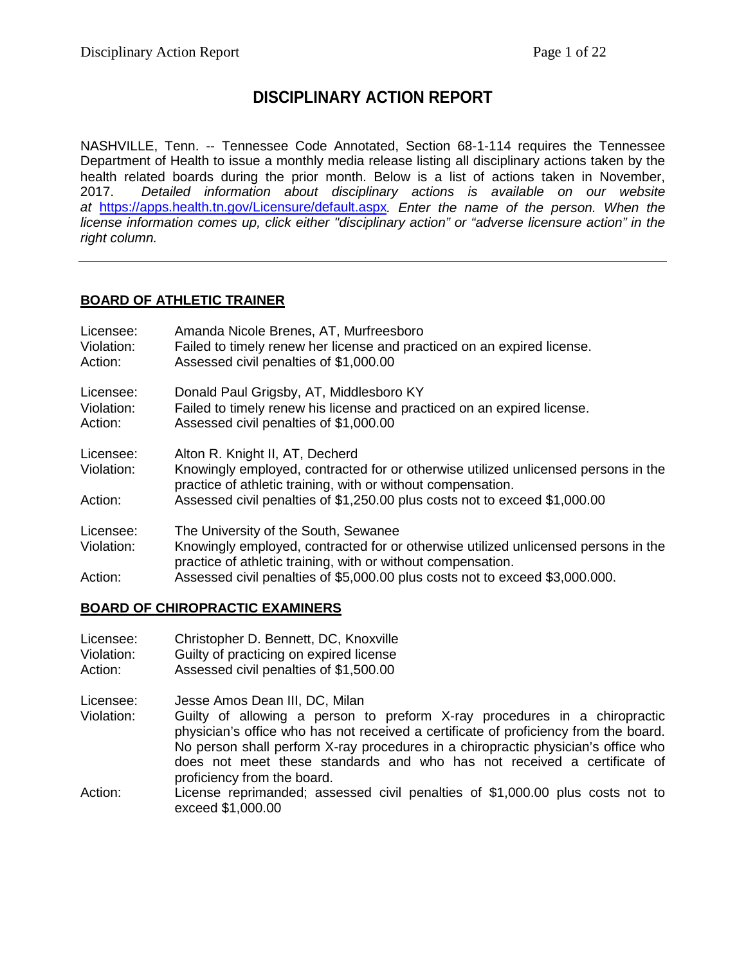# **DISCIPLINARY ACTION REPORT**

NASHVILLE, Tenn. -- Tennessee Code Annotated, Section 68-1-114 requires the Tennessee Department of Health to issue a monthly media release listing all disciplinary actions taken by the health related boards during the prior month. Below is a list of actions taken in November, 2017. *Detailed information about disciplinary actions is available on our website at* <https://apps.health.tn.gov/Licensure/default.aspx>*. Enter the name of the person. When the license information comes up, click either "disciplinary action" or "adverse licensure action" in the right column.*

# **BOARD OF ATHLETIC TRAINER**

| Licensee:                          | Amanda Nicole Brenes, AT, Murfreesboro                                                                                                                                                                                                                                     |
|------------------------------------|----------------------------------------------------------------------------------------------------------------------------------------------------------------------------------------------------------------------------------------------------------------------------|
| Violation:                         | Failed to timely renew her license and practiced on an expired license.                                                                                                                                                                                                    |
| Action:                            | Assessed civil penalties of \$1,000.00                                                                                                                                                                                                                                     |
| Licensee:                          | Donald Paul Grigsby, AT, Middlesboro KY                                                                                                                                                                                                                                    |
| Violation:                         | Failed to timely renew his license and practiced on an expired license.                                                                                                                                                                                                    |
| Action:                            | Assessed civil penalties of \$1,000.00                                                                                                                                                                                                                                     |
| Licensee:<br>Violation:<br>Action: | Alton R. Knight II, AT, Decherd<br>Knowingly employed, contracted for or otherwise utilized unlicensed persons in the<br>practice of athletic training, with or without compensation.<br>Assessed civil penalties of \$1,250.00 plus costs not to exceed \$1,000.00        |
| Licensee:<br>Violation:<br>Action: | The University of the South, Sewanee<br>Knowingly employed, contracted for or otherwise utilized unlicensed persons in the<br>practice of athletic training, with or without compensation.<br>Assessed civil penalties of \$5,000.00 plus costs not to exceed \$3,000.000. |

### **BOARD OF CHIROPRACTIC EXAMINERS**

| Licensee: | Christopher D. Bennett, DC, Knoxville |  |  |  |
|-----------|---------------------------------------|--|--|--|
|-----------|---------------------------------------|--|--|--|

Violation: Guilty of practicing on expired license

Action: Assessed civil penalties of \$1,500.00

Licensee: Jesse Amos Dean III, DC, Milan

- Violation: Guilty of allowing a person to preform X-ray procedures in a chiropractic physician's office who has not received a certificate of proficiency from the board. No person shall perform X-ray procedures in a chiropractic physician's office who does not meet these standards and who has not received a certificate of proficiency from the board.
- Action: License reprimanded; assessed civil penalties of \$1,000.00 plus costs not to exceed \$1,000.00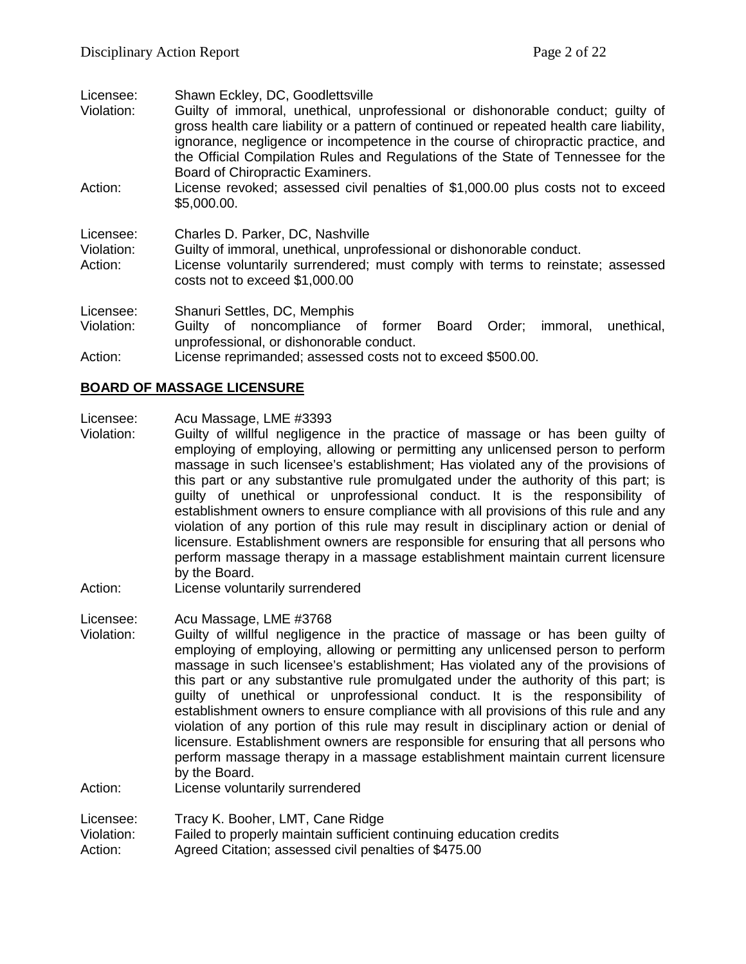| Licensee:                          | Shawn Eckley, DC, Goodlettsville                                                                                                                                                                                                                                                                                                                                                         |
|------------------------------------|------------------------------------------------------------------------------------------------------------------------------------------------------------------------------------------------------------------------------------------------------------------------------------------------------------------------------------------------------------------------------------------|
| Violation:                         | Guilty of immoral, unethical, unprofessional or dishonorable conduct; quilty of<br>gross health care liability or a pattern of continued or repeated health care liability,<br>ignorance, negligence or incompetence in the course of chiropractic practice, and<br>the Official Compilation Rules and Regulations of the State of Tennessee for the<br>Board of Chiropractic Examiners. |
| Action:                            | License revoked; assessed civil penalties of \$1,000.00 plus costs not to exceed<br>\$5,000.00.                                                                                                                                                                                                                                                                                          |
| Licensee:<br>Violation:<br>Action: | Charles D. Parker, DC, Nashville<br>Guilty of immoral, unethical, unprofessional or dishonorable conduct.<br>License voluntarily surrendered; must comply with terms to reinstate; assessed<br>costs not to exceed \$1,000.00                                                                                                                                                            |
|                                    |                                                                                                                                                                                                                                                                                                                                                                                          |
| Licensee:                          | Shanuri Settles, DC, Memphis                                                                                                                                                                                                                                                                                                                                                             |
| Violation:                         | Guilty of noncompliance of former Board<br>Order:<br>immoral,<br>unethical,<br>unprofessional, or dishonorable conduct.                                                                                                                                                                                                                                                                  |
| $A = 1$                            | Lissanos analistos de de la processo de poeta la distribución el GEOO OO                                                                                                                                                                                                                                                                                                                 |

Action: License reprimanded; assessed costs not to exceed \$500.00.

# **BOARD OF MASSAGE LICENSURE**

### Licensee: Acu Massage, LME #3393

- Violation: Guilty of willful negligence in the practice of massage or has been guilty of employing of employing, allowing or permitting any unlicensed person to perform massage in such licensee's establishment; Has violated any of the provisions of this part or any substantive rule promulgated under the authority of this part; is guilty of unethical or unprofessional conduct. It is the responsibility of establishment owners to ensure compliance with all provisions of this rule and any violation of any portion of this rule may result in disciplinary action or denial of licensure. Establishment owners are responsible for ensuring that all persons who perform massage therapy in a massage establishment maintain current licensure by the Board.
- Action: License voluntarily surrendered

### Licensee: Acu Massage, LME #3768

Violation: Guilty of willful negligence in the practice of massage or has been guilty of employing of employing, allowing or permitting any unlicensed person to perform massage in such licensee's establishment; Has violated any of the provisions of this part or any substantive rule promulgated under the authority of this part; is guilty of unethical or unprofessional conduct. It is the responsibility of establishment owners to ensure compliance with all provisions of this rule and any violation of any portion of this rule may result in disciplinary action or denial of licensure. Establishment owners are responsible for ensuring that all persons who perform massage therapy in a massage establishment maintain current licensure by the Board. Action: License voluntarily surrendered

Licensee: Tracy K. Booher, LMT, Cane Ridge

Violation: Failed to properly maintain sufficient continuing education credits

Action: Agreed Citation; assessed civil penalties of \$475.00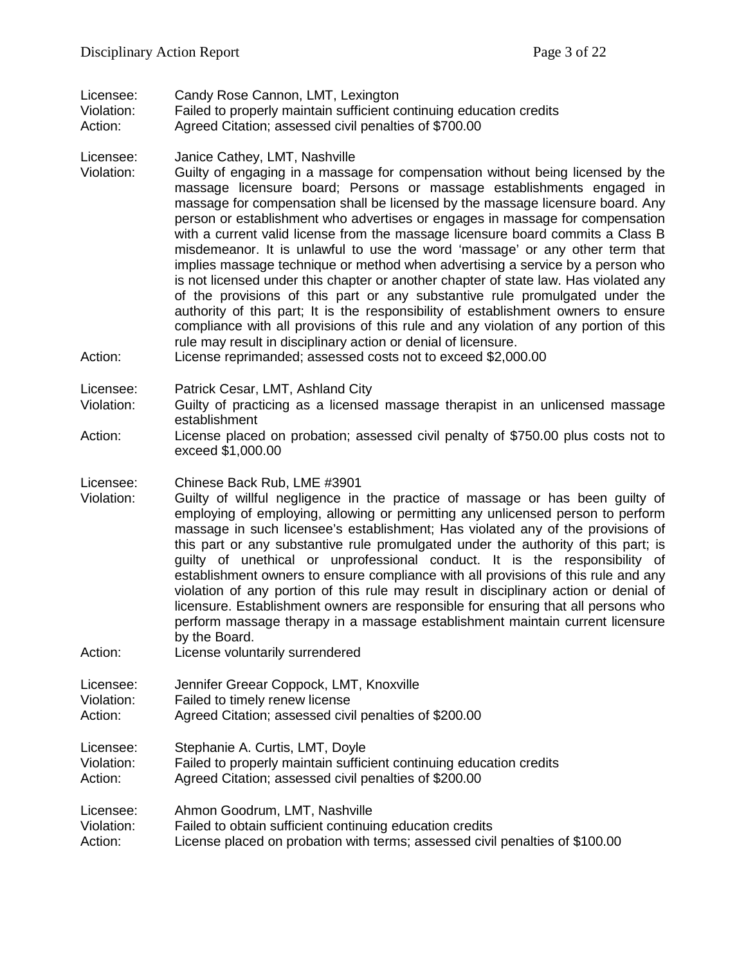- Licensee: Candy Rose Cannon, LMT, Lexington<br>Violation: Failed to properly maintain sufficient co
- Failed to properly maintain sufficient continuing education credits
- Action: Agreed Citation; assessed civil penalties of \$700.00

### Licensee: Janice Cathey, LMT, Nashville

- Violation: Guilty of engaging in a massage for compensation without being licensed by the massage licensure board; Persons or massage establishments engaged in massage for compensation shall be licensed by the massage licensure board. Any person or establishment who advertises or engages in massage for compensation with a current valid license from the massage licensure board commits a Class B misdemeanor. It is unlawful to use the word 'massage' or any other term that implies massage technique or method when advertising a service by a person who is not licensed under this chapter or another chapter of state law. Has violated any of the provisions of this part or any substantive rule promulgated under the authority of this part; It is the responsibility of establishment owners to ensure compliance with all provisions of this rule and any violation of any portion of this rule may result in disciplinary action or denial of licensure.
- Action: License reprimanded; assessed costs not to exceed \$2,000.00

# Licensee: Patrick Cesar, LMT, Ashland City

- Guilty of practicing as a licensed massage therapist in an unlicensed massage establishment
- Action: License placed on probation; assessed civil penalty of \$750.00 plus costs not to exceed \$1,000.00
- Licensee: Chinese Back Rub, LME #3901
- Violation: Guilty of willful negligence in the practice of massage or has been guilty of employing of employing, allowing or permitting any unlicensed person to perform massage in such licensee's establishment; Has violated any of the provisions of this part or any substantive rule promulgated under the authority of this part; is guilty of unethical or unprofessional conduct. It is the responsibility of establishment owners to ensure compliance with all provisions of this rule and any violation of any portion of this rule may result in disciplinary action or denial of licensure. Establishment owners are responsible for ensuring that all persons who perform massage therapy in a massage establishment maintain current licensure by the Board.
- Action: License voluntarily surrendered

| Licensee:  | Jennifer Greear Coppock, LMT, Knoxville               |
|------------|-------------------------------------------------------|
| Violation: | Failed to timely renew license                        |
| Action:    | Agreed Citation; assessed civil penalties of \$200.00 |
|            |                                                       |

Licensee: Stephanie A. Curtis, LMT, Doyle

Violation: Failed to properly maintain sufficient continuing education credits Action: Agreed Citation; assessed civil penalties of \$200.00

Licensee: Ahmon Goodrum, LMT, Nashville

Violation: Failed to obtain sufficient continuing education credits

Action: License placed on probation with terms; assessed civil penalties of \$100.00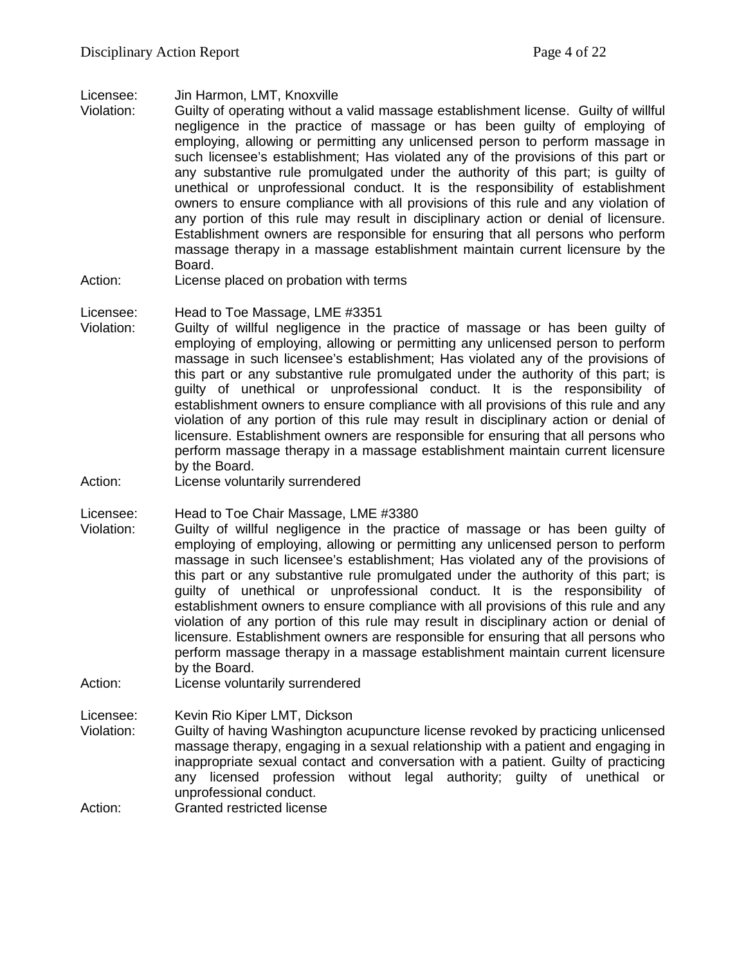Licensee: Jin Harmon, LMT, Knoxville<br>Violation: Guilty of operating without a

- Guilty of operating without a valid massage establishment license. Guilty of willful negligence in the practice of massage or has been guilty of employing of employing, allowing or permitting any unlicensed person to perform massage in such licensee's establishment; Has violated any of the provisions of this part or any substantive rule promulgated under the authority of this part; is guilty of unethical or unprofessional conduct. It is the responsibility of establishment owners to ensure compliance with all provisions of this rule and any violation of any portion of this rule may result in disciplinary action or denial of licensure. Establishment owners are responsible for ensuring that all persons who perform massage therapy in a massage establishment maintain current licensure by the Board.
- Action: License placed on probation with terms

Licensee: Head to Toe Massage, LME #3351

- Violation: Guilty of willful negligence in the practice of massage or has been guilty of employing of employing, allowing or permitting any unlicensed person to perform massage in such licensee's establishment; Has violated any of the provisions of this part or any substantive rule promulgated under the authority of this part; is guilty of unethical or unprofessional conduct. It is the responsibility of establishment owners to ensure compliance with all provisions of this rule and any violation of any portion of this rule may result in disciplinary action or denial of licensure. Establishment owners are responsible for ensuring that all persons who perform massage therapy in a massage establishment maintain current licensure by the Board.
- Action: License voluntarily surrendered

Licensee: Head to Toe Chair Massage, LME #3380

- Violation: Guilty of willful negligence in the practice of massage or has been guilty of employing of employing, allowing or permitting any unlicensed person to perform massage in such licensee's establishment; Has violated any of the provisions of this part or any substantive rule promulgated under the authority of this part; is guilty of unethical or unprofessional conduct. It is the responsibility of establishment owners to ensure compliance with all provisions of this rule and any violation of any portion of this rule may result in disciplinary action or denial of licensure. Establishment owners are responsible for ensuring that all persons who perform massage therapy in a massage establishment maintain current licensure by the Board.
- Action: License voluntarily surrendered

Licensee: Kevin Rio Kiper LMT, Dickson

- Violation: Guilty of having Washington acupuncture license revoked by practicing unlicensed massage therapy, engaging in a sexual relationship with a patient and engaging in inappropriate sexual contact and conversation with a patient. Guilty of practicing any licensed profession without legal authority; guilty of unethical or unprofessional conduct.
- Action: Granted restricted license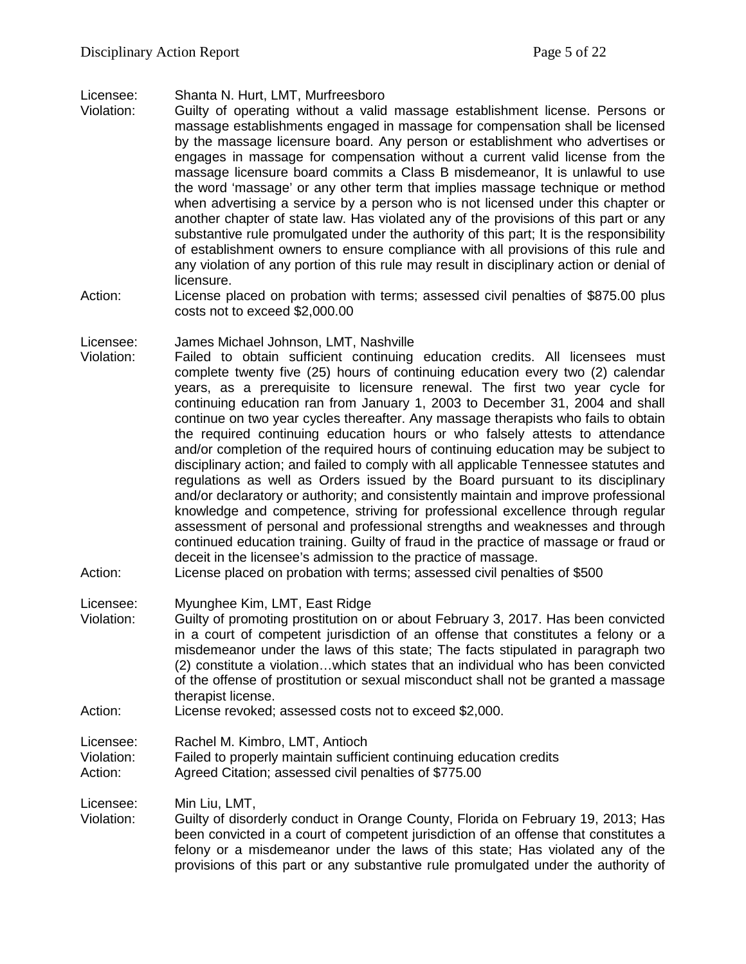Licensee: Shanta N. Hurt, LMT, Murfreesboro

- Guilty of operating without a valid massage establishment license. Persons or massage establishments engaged in massage for compensation shall be licensed by the massage licensure board. Any person or establishment who advertises or engages in massage for compensation without a current valid license from the massage licensure board commits a Class B misdemeanor, It is unlawful to use the word 'massage' or any other term that implies massage technique or method when advertising a service by a person who is not licensed under this chapter or another chapter of state law. Has violated any of the provisions of this part or any substantive rule promulgated under the authority of this part; It is the responsibility of establishment owners to ensure compliance with all provisions of this rule and any violation of any portion of this rule may result in disciplinary action or denial of licensure.
- Action: License placed on probation with terms; assessed civil penalties of \$875.00 plus costs not to exceed \$2,000.00
- Licensee: James Michael Johnson, LMT, Nashville<br>Violation: Failed to obtain sufficient continuing
- Failed to obtain sufficient continuing education credits. All licensees must complete twenty five (25) hours of continuing education every two (2) calendar years, as a prerequisite to licensure renewal. The first two year cycle for continuing education ran from January 1, 2003 to December 31, 2004 and shall continue on two year cycles thereafter. Any massage therapists who fails to obtain the required continuing education hours or who falsely attests to attendance and/or completion of the required hours of continuing education may be subject to disciplinary action; and failed to comply with all applicable Tennessee statutes and regulations as well as Orders issued by the Board pursuant to its disciplinary and/or declaratory or authority; and consistently maintain and improve professional knowledge and competence, striving for professional excellence through regular assessment of personal and professional strengths and weaknesses and through continued education training. Guilty of fraud in the practice of massage or fraud or deceit in the licensee's admission to the practice of massage.
- Action: License placed on probation with terms; assessed civil penalties of \$500
- Licensee: Myunghee Kim, LMT, East Ridge
- Violation: Guilty of promoting prostitution on or about February 3, 2017. Has been convicted in a court of competent jurisdiction of an offense that constitutes a felony or a misdemeanor under the laws of this state; The facts stipulated in paragraph two (2) constitute a violation…which states that an individual who has been convicted of the offense of prostitution or sexual misconduct shall not be granted a massage therapist license.
- Action: License revoked; assessed costs not to exceed \$2,000.
- Licensee: Rachel M. Kimbro, LMT, Antioch
- Violation: Failed to properly maintain sufficient continuing education credits
- Action: Agreed Citation; assessed civil penalties of \$775.00

Licensee: Min Liu, LMT,

Violation: Guilty of disorderly conduct in Orange County, Florida on February 19, 2013; Has been convicted in a court of competent jurisdiction of an offense that constitutes a felony or a misdemeanor under the laws of this state; Has violated any of the provisions of this part or any substantive rule promulgated under the authority of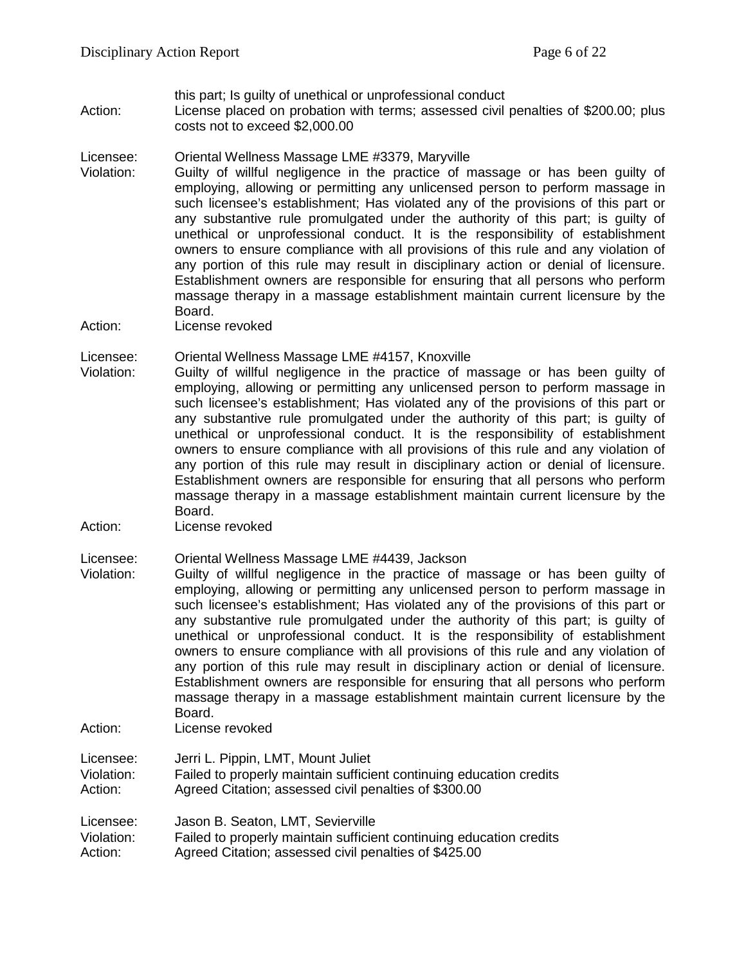this part; Is guilty of unethical or unprofessional conduct

Action: License placed on probation with terms; assessed civil penalties of \$200.00; plus costs not to exceed \$2,000.00

### Licensee: Oriental Wellness Massage LME #3379, Maryville

- Violation: Guilty of willful negligence in the practice of massage or has been guilty of employing, allowing or permitting any unlicensed person to perform massage in such licensee's establishment; Has violated any of the provisions of this part or any substantive rule promulgated under the authority of this part; is guilty of unethical or unprofessional conduct. It is the responsibility of establishment owners to ensure compliance with all provisions of this rule and any violation of any portion of this rule may result in disciplinary action or denial of licensure. Establishment owners are responsible for ensuring that all persons who perform massage therapy in a massage establishment maintain current licensure by the Board.
- Action: License revoked

### Licensee: Oriental Wellness Massage LME #4157, Knoxville

- Violation: Guilty of willful negligence in the practice of massage or has been guilty of employing, allowing or permitting any unlicensed person to perform massage in such licensee's establishment; Has violated any of the provisions of this part or any substantive rule promulgated under the authority of this part; is guilty of unethical or unprofessional conduct. It is the responsibility of establishment owners to ensure compliance with all provisions of this rule and any violation of any portion of this rule may result in disciplinary action or denial of licensure. Establishment owners are responsible for ensuring that all persons who perform massage therapy in a massage establishment maintain current licensure by the Board.
- Action: License revoked

Licensee: Oriental Wellness Massage LME #4439, Jackson

- Violation: Guilty of willful negligence in the practice of massage or has been guilty of employing, allowing or permitting any unlicensed person to perform massage in such licensee's establishment; Has violated any of the provisions of this part or any substantive rule promulgated under the authority of this part; is guilty of unethical or unprofessional conduct. It is the responsibility of establishment owners to ensure compliance with all provisions of this rule and any violation of any portion of this rule may result in disciplinary action or denial of licensure. Establishment owners are responsible for ensuring that all persons who perform massage therapy in a massage establishment maintain current licensure by the Board.
- Action: License revoked

| Licensee:  | Jerri L. Pippin, LMT, Mount Juliet                                  |
|------------|---------------------------------------------------------------------|
| Violation: | Failed to properly maintain sufficient continuing education credits |
| Action:    | Agreed Citation; assessed civil penalties of \$300.00               |
| Licensee:  | Jason B. Seaton, LMT, Sevierville                                   |

| ---------  |                                                                     |
|------------|---------------------------------------------------------------------|
| Violation: | Failed to properly maintain sufficient continuing education credits |
| Action:    | Agreed Citation; assessed civil penalties of \$425.00               |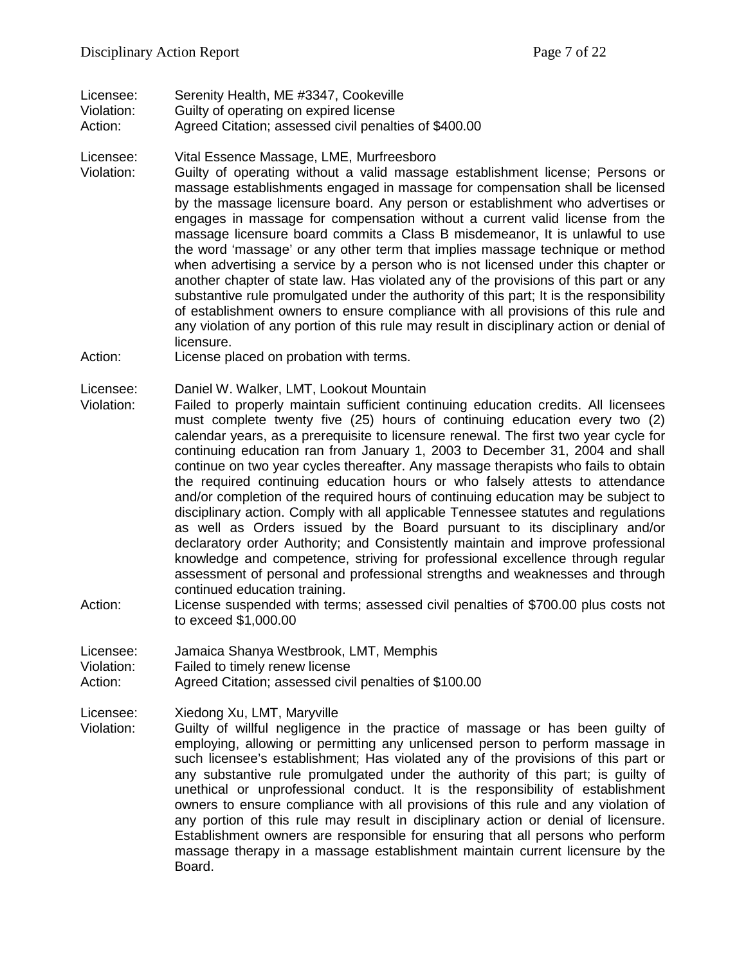- Licensee: Serenity Health, ME #3347, Cookeville
- Violation: Guilty of operating on expired license
- Action: Agreed Citation; assessed civil penalties of \$400.00
- Licensee: Vital Essence Massage, LME, Murfreesboro
- Violation: Guilty of operating without a valid massage establishment license; Persons or massage establishments engaged in massage for compensation shall be licensed by the massage licensure board. Any person or establishment who advertises or engages in massage for compensation without a current valid license from the massage licensure board commits a Class B misdemeanor, It is unlawful to use the word 'massage' or any other term that implies massage technique or method when advertising a service by a person who is not licensed under this chapter or another chapter of state law. Has violated any of the provisions of this part or any substantive rule promulgated under the authority of this part; It is the responsibility of establishment owners to ensure compliance with all provisions of this rule and any violation of any portion of this rule may result in disciplinary action or denial of licensure.
- Action: License placed on probation with terms.

Licensee: Daniel W. Walker, LMT, Lookout Mountain<br>Violation: Failed to properly maintain sufficient cont

- Failed to properly maintain sufficient continuing education credits. All licensees must complete twenty five (25) hours of continuing education every two (2) calendar years, as a prerequisite to licensure renewal. The first two year cycle for continuing education ran from January 1, 2003 to December 31, 2004 and shall continue on two year cycles thereafter. Any massage therapists who fails to obtain the required continuing education hours or who falsely attests to attendance and/or completion of the required hours of continuing education may be subject to disciplinary action. Comply with all applicable Tennessee statutes and regulations as well as Orders issued by the Board pursuant to its disciplinary and/or declaratory order Authority; and Consistently maintain and improve professional knowledge and competence, striving for professional excellence through regular assessment of personal and professional strengths and weaknesses and through continued education training.
- Action: License suspended with terms; assessed civil penalties of \$700.00 plus costs not to exceed \$1,000.00

Licensee: Jamaica Shanya Westbrook, LMT, Memphis

Violation: Failed to timely renew license

Action: Agreed Citation; assessed civil penalties of \$100.00

Licensee: Xiedong Xu, LMT, Maryville

Violation: Guilty of willful negligence in the practice of massage or has been guilty of employing, allowing or permitting any unlicensed person to perform massage in such licensee's establishment; Has violated any of the provisions of this part or any substantive rule promulgated under the authority of this part; is guilty of unethical or unprofessional conduct. It is the responsibility of establishment owners to ensure compliance with all provisions of this rule and any violation of any portion of this rule may result in disciplinary action or denial of licensure. Establishment owners are responsible for ensuring that all persons who perform massage therapy in a massage establishment maintain current licensure by the Board.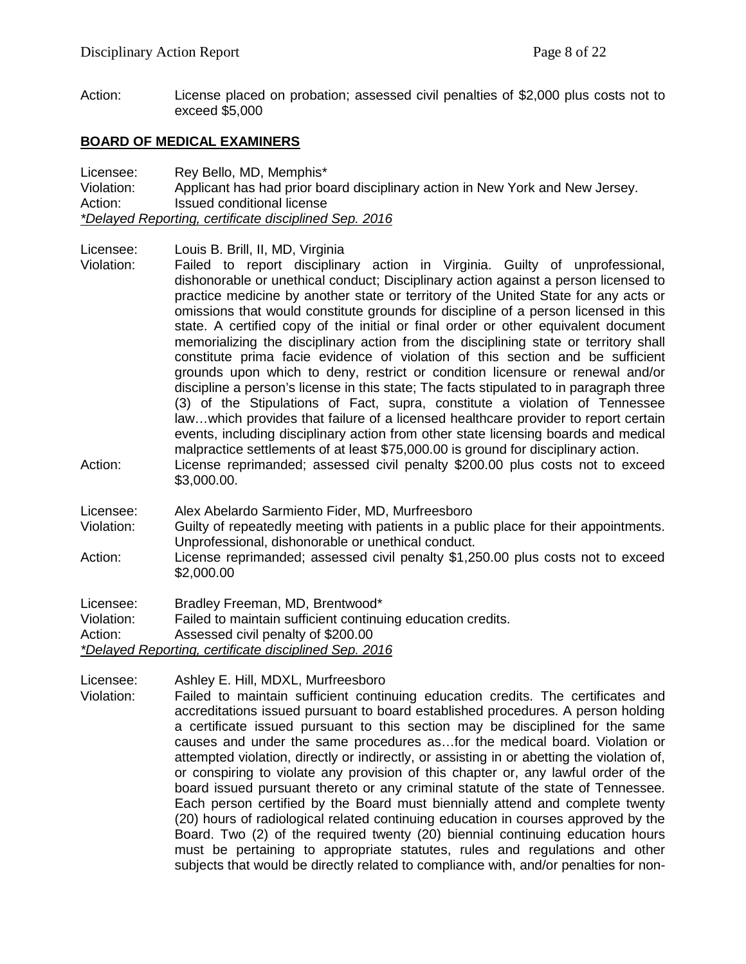Action: License placed on probation; assessed civil penalties of \$2,000 plus costs not to exceed \$5,000

### **BOARD OF MEDICAL EXAMINERS**

Licensee: Rey Bello, MD, Memphis\* Violation: Applicant has had prior board disciplinary action in New York and New Jersey. Action: Issued conditional license *\*Delayed Reporting, certificate disciplined Sep. 2016*

Licensee: Louis B. Brill, II, MD, Virginia

- Violation: Failed to report disciplinary action in Virginia. Guilty of unprofessional, dishonorable or unethical conduct; Disciplinary action against a person licensed to practice medicine by another state or territory of the United State for any acts or omissions that would constitute grounds for discipline of a person licensed in this state. A certified copy of the initial or final order or other equivalent document memorializing the disciplinary action from the disciplining state or territory shall constitute prima facie evidence of violation of this section and be sufficient grounds upon which to deny, restrict or condition licensure or renewal and/or discipline a person's license in this state; The facts stipulated to in paragraph three (3) of the Stipulations of Fact, supra, constitute a violation of Tennessee law…which provides that failure of a licensed healthcare provider to report certain events, including disciplinary action from other state licensing boards and medical malpractice settlements of at least \$75,000.00 is ground for disciplinary action. Action: License reprimanded; assessed civil penalty \$200.00 plus costs not to exceed
- \$3,000.00.
- Licensee: Alex Abelardo Sarmiento Fider, MD, Murfreesboro
- Violation: Guilty of repeatedly meeting with patients in a public place for their appointments. Unprofessional, dishonorable or unethical conduct.
- Action: License reprimanded; assessed civil penalty \$1,250.00 plus costs not to exceed \$2,000.00

| Licensee:  | Bradley Freeman, MD, Brentwood*                             |
|------------|-------------------------------------------------------------|
| Violation: | Failed to maintain sufficient continuing education credits. |
| Action:    | Assessed civil penalty of \$200.00                          |
|            | *Delayed Reporting, certificate disciplined Sep. 2016       |

Licensee: Ashley E. Hill, MDXL, Murfreesboro

Violation: Failed to maintain sufficient continuing education credits. The certificates and accreditations issued pursuant to board established procedures. A person holding a certificate issued pursuant to this section may be disciplined for the same causes and under the same procedures as…for the medical board. Violation or attempted violation, directly or indirectly, or assisting in or abetting the violation of, or conspiring to violate any provision of this chapter or, any lawful order of the board issued pursuant thereto or any criminal statute of the state of Tennessee. Each person certified by the Board must biennially attend and complete twenty (20) hours of radiological related continuing education in courses approved by the Board. Two (2) of the required twenty (20) biennial continuing education hours must be pertaining to appropriate statutes, rules and regulations and other subjects that would be directly related to compliance with, and/or penalties for non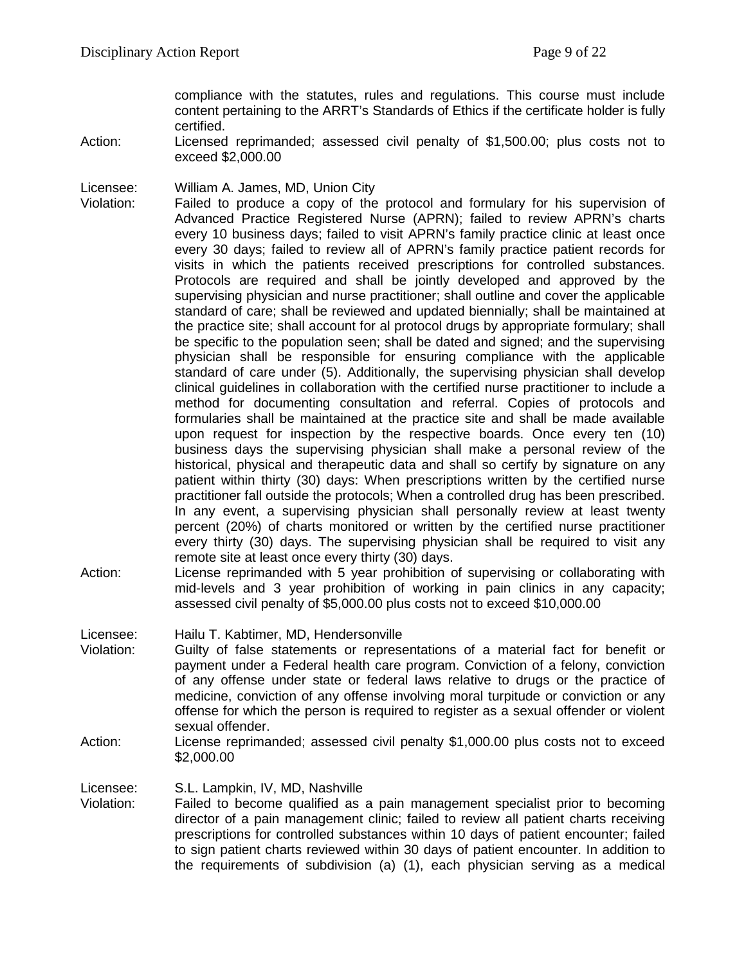compliance with the statutes, rules and regulations. This course must include content pertaining to the ARRT's Standards of Ethics if the certificate holder is fully certified.

- Action: Licensed reprimanded; assessed civil penalty of \$1,500.00; plus costs not to exceed \$2,000.00
- Licensee: William A. James, MD, Union City
- Violation: Failed to produce a copy of the protocol and formulary for his supervision of Advanced Practice Registered Nurse (APRN); failed to review APRN's charts every 10 business days; failed to visit APRN's family practice clinic at least once every 30 days; failed to review all of APRN's family practice patient records for visits in which the patients received prescriptions for controlled substances. Protocols are required and shall be jointly developed and approved by the supervising physician and nurse practitioner; shall outline and cover the applicable standard of care; shall be reviewed and updated biennially; shall be maintained at the practice site; shall account for al protocol drugs by appropriate formulary; shall be specific to the population seen; shall be dated and signed; and the supervising physician shall be responsible for ensuring compliance with the applicable standard of care under (5). Additionally, the supervising physician shall develop clinical guidelines in collaboration with the certified nurse practitioner to include a method for documenting consultation and referral. Copies of protocols and formularies shall be maintained at the practice site and shall be made available upon request for inspection by the respective boards. Once every ten (10) business days the supervising physician shall make a personal review of the historical, physical and therapeutic data and shall so certify by signature on any patient within thirty (30) days: When prescriptions written by the certified nurse practitioner fall outside the protocols; When a controlled drug has been prescribed. In any event, a supervising physician shall personally review at least twenty percent (20%) of charts monitored or written by the certified nurse practitioner every thirty (30) days. The supervising physician shall be required to visit any remote site at least once every thirty (30) days.
- Action: License reprimanded with 5 year prohibition of supervising or collaborating with mid-levels and 3 year prohibition of working in pain clinics in any capacity; assessed civil penalty of \$5,000.00 plus costs not to exceed \$10,000.00
- Licensee: Hailu T. Kabtimer, MD, Hendersonville
- Violation: Guilty of false statements or representations of a material fact for benefit or payment under a Federal health care program. Conviction of a felony, conviction of any offense under state or federal laws relative to drugs or the practice of medicine, conviction of any offense involving moral turpitude or conviction or any offense for which the person is required to register as a sexual offender or violent sexual offender.
- Action: License reprimanded; assessed civil penalty \$1,000.00 plus costs not to exceed \$2,000.00

Licensee: S.L. Lampkin, IV, MD, Nashville

Violation: Failed to become qualified as a pain management specialist prior to becoming director of a pain management clinic; failed to review all patient charts receiving prescriptions for controlled substances within 10 days of patient encounter; failed to sign patient charts reviewed within 30 days of patient encounter. In addition to the requirements of subdivision (a) (1), each physician serving as a medical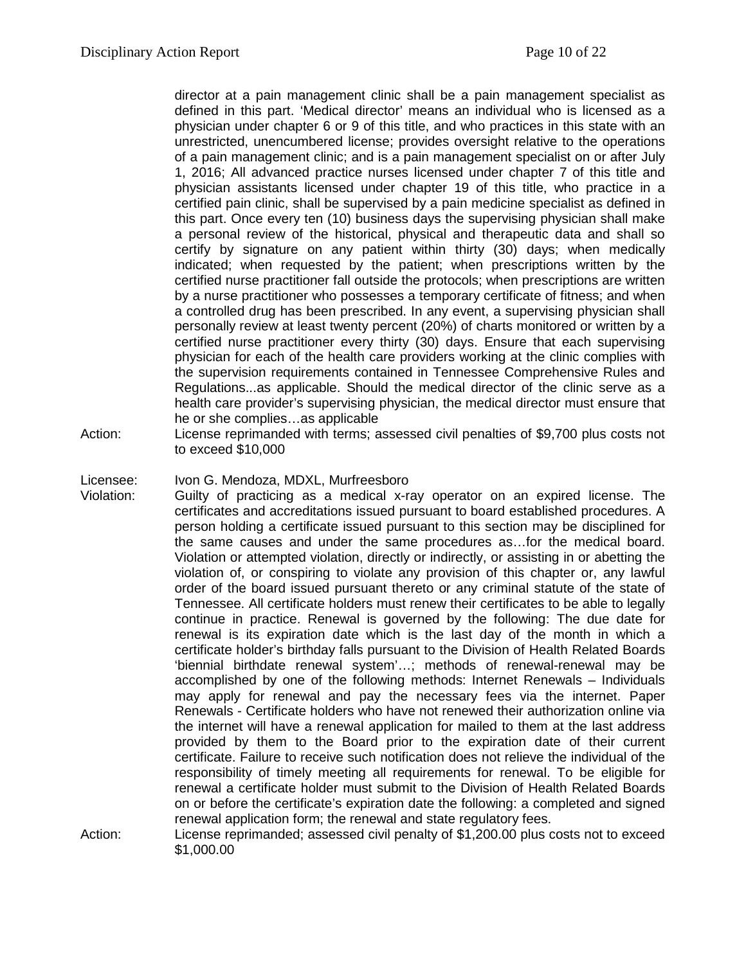director at a pain management clinic shall be a pain management specialist as defined in this part. 'Medical director' means an individual who is licensed as a physician under chapter 6 or 9 of this title, and who practices in this state with an unrestricted, unencumbered license; provides oversight relative to the operations of a pain management clinic; and is a pain management specialist on or after July 1, 2016; All advanced practice nurses licensed under chapter 7 of this title and physician assistants licensed under chapter 19 of this title, who practice in a certified pain clinic, shall be supervised by a pain medicine specialist as defined in this part. Once every ten (10) business days the supervising physician shall make a personal review of the historical, physical and therapeutic data and shall so certify by signature on any patient within thirty (30) days; when medically indicated; when requested by the patient; when prescriptions written by the certified nurse practitioner fall outside the protocols; when prescriptions are written by a nurse practitioner who possesses a temporary certificate of fitness; and when a controlled drug has been prescribed. In any event, a supervising physician shall personally review at least twenty percent (20%) of charts monitored or written by a certified nurse practitioner every thirty (30) days. Ensure that each supervising physician for each of the health care providers working at the clinic complies with the supervision requirements contained in Tennessee Comprehensive Rules and Regulations...as applicable. Should the medical director of the clinic serve as a health care provider's supervising physician, the medical director must ensure that he or she complies…as applicable

- Action: License reprimanded with terms; assessed civil penalties of \$9,700 plus costs not to exceed \$10,000
- Licensee: Ivon G. Mendoza, MDXL, Murfreesboro
- Violation: Guilty of practicing as a medical x-ray operator on an expired license. The certificates and accreditations issued pursuant to board established procedures. A person holding a certificate issued pursuant to this section may be disciplined for the same causes and under the same procedures as…for the medical board. Violation or attempted violation, directly or indirectly, or assisting in or abetting the violation of, or conspiring to violate any provision of this chapter or, any lawful order of the board issued pursuant thereto or any criminal statute of the state of Tennessee. All certificate holders must renew their certificates to be able to legally continue in practice. Renewal is governed by the following: The due date for renewal is its expiration date which is the last day of the month in which a certificate holder's birthday falls pursuant to the Division of Health Related Boards 'biennial birthdate renewal system'…; methods of renewal-renewal may be accomplished by one of the following methods: Internet Renewals – Individuals may apply for renewal and pay the necessary fees via the internet. Paper Renewals - Certificate holders who have not renewed their authorization online via the internet will have a renewal application for mailed to them at the last address provided by them to the Board prior to the expiration date of their current certificate. Failure to receive such notification does not relieve the individual of the responsibility of timely meeting all requirements for renewal. To be eligible for renewal a certificate holder must submit to the Division of Health Related Boards on or before the certificate's expiration date the following: a completed and signed renewal application form; the renewal and state regulatory fees.
- Action: License reprimanded; assessed civil penalty of \$1,200.00 plus costs not to exceed \$1,000.00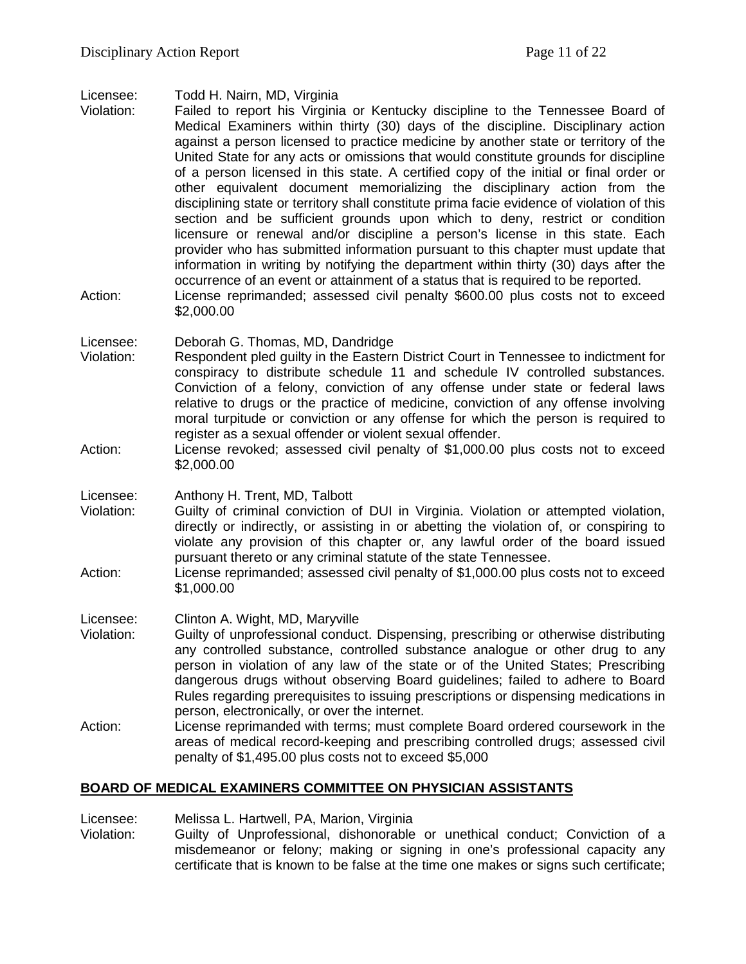- Licensee: Todd H. Nairn, MD, Virginia
- Failed to report his Virginia or Kentucky discipline to the Tennessee Board of Medical Examiners within thirty (30) days of the discipline. Disciplinary action against a person licensed to practice medicine by another state or territory of the United State for any acts or omissions that would constitute grounds for discipline of a person licensed in this state. A certified copy of the initial or final order or other equivalent document memorializing the disciplinary action from the disciplining state or territory shall constitute prima facie evidence of violation of this section and be sufficient grounds upon which to deny, restrict or condition licensure or renewal and/or discipline a person's license in this state. Each provider who has submitted information pursuant to this chapter must update that information in writing by notifying the department within thirty (30) days after the occurrence of an event or attainment of a status that is required to be reported.
- Action: License reprimanded; assessed civil penalty \$600.00 plus costs not to exceed \$2,000.00

# Licensee: Deborah G. Thomas, MD, Dandridge<br>Violation: Respondent pled quilty in the Eastern

- Respondent pled guilty in the Eastern District Court in Tennessee to indictment for conspiracy to distribute schedule 11 and schedule IV controlled substances. Conviction of a felony, conviction of any offense under state or federal laws relative to drugs or the practice of medicine, conviction of any offense involving moral turpitude or conviction or any offense for which the person is required to register as a sexual offender or violent sexual offender.
- Action: License revoked; assessed civil penalty of \$1,000.00 plus costs not to exceed \$2,000.00

### Licensee: Anthony H. Trent, MD, Talbott

- Violation: Guilty of criminal conviction of DUI in Virginia. Violation or attempted violation, directly or indirectly, or assisting in or abetting the violation of, or conspiring to violate any provision of this chapter or, any lawful order of the board issued pursuant thereto or any criminal statute of the state Tennessee.
- Action: License reprimanded; assessed civil penalty of \$1,000.00 plus costs not to exceed \$1,000.00
- Licensee: Clinton A. Wight, MD, Maryville
- Violation: Guilty of unprofessional conduct. Dispensing, prescribing or otherwise distributing any controlled substance, controlled substance analogue or other drug to any person in violation of any law of the state or of the United States; Prescribing dangerous drugs without observing Board guidelines; failed to adhere to Board Rules regarding prerequisites to issuing prescriptions or dispensing medications in person, electronically, or over the internet.
- Action: License reprimanded with terms; must complete Board ordered coursework in the areas of medical record-keeping and prescribing controlled drugs; assessed civil penalty of \$1,495.00 plus costs not to exceed \$5,000

### **BOARD OF MEDICAL EXAMINERS COMMITTEE ON PHYSICIAN ASSISTANTS**

- Licensee: Melissa L. Hartwell, PA, Marion, Virginia
- Violation: Guilty of Unprofessional, dishonorable or unethical conduct; Conviction of a misdemeanor or felony; making or signing in one's professional capacity any certificate that is known to be false at the time one makes or signs such certificate;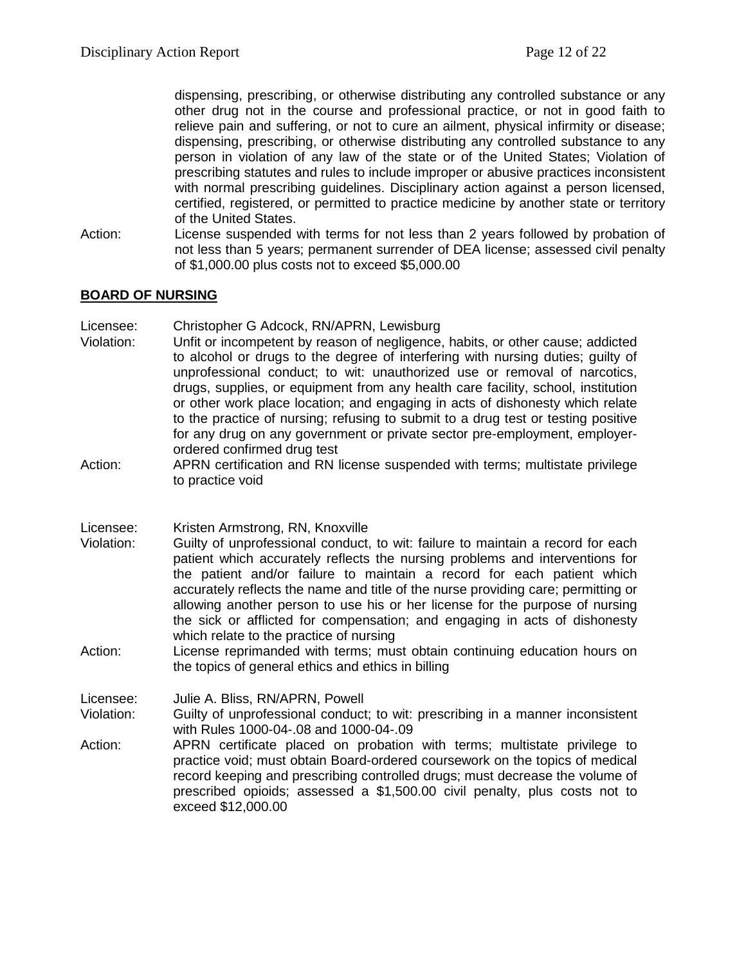dispensing, prescribing, or otherwise distributing any controlled substance or any other drug not in the course and professional practice, or not in good faith to relieve pain and suffering, or not to cure an ailment, physical infirmity or disease; dispensing, prescribing, or otherwise distributing any controlled substance to any person in violation of any law of the state or of the United States; Violation of prescribing statutes and rules to include improper or abusive practices inconsistent with normal prescribing guidelines. Disciplinary action against a person licensed, certified, registered, or permitted to practice medicine by another state or territory of the United States.

Action: License suspended with terms for not less than 2 years followed by probation of not less than 5 years; permanent surrender of DEA license; assessed civil penalty of \$1,000.00 plus costs not to exceed \$5,000.00

### **BOARD OF NURSING**

Licensee: Christopher G Adcock, RN/APRN, Lewisburg

- Violation: Unfit or incompetent by reason of negligence, habits, or other cause; addicted to alcohol or drugs to the degree of interfering with nursing duties; guilty of unprofessional conduct; to wit: unauthorized use or removal of narcotics, drugs, supplies, or equipment from any health care facility, school, institution or other work place location; and engaging in acts of dishonesty which relate to the practice of nursing; refusing to submit to a drug test or testing positive for any drug on any government or private sector pre-employment, employerordered confirmed drug test
- Action: APRN certification and RN license suspended with terms; multistate privilege to practice void

Licensee: Kristen Armstrong, RN, Knoxville

- Violation: Guilty of unprofessional conduct, to wit: failure to maintain a record for each patient which accurately reflects the nursing problems and interventions for the patient and/or failure to maintain a record for each patient which accurately reflects the name and title of the nurse providing care; permitting or allowing another person to use his or her license for the purpose of nursing the sick or afflicted for compensation; and engaging in acts of dishonesty which relate to the practice of nursing
- Action: License reprimanded with terms; must obtain continuing education hours on the topics of general ethics and ethics in billing

Licensee: Julie A. Bliss, RN/APRN, Powell

- Violation: Guilty of unprofessional conduct; to wit: prescribing in a manner inconsistent with Rules 1000-04-.08 and 1000-04-.09
- Action: APRN certificate placed on probation with terms; multistate privilege to practice void; must obtain Board-ordered coursework on the topics of medical record keeping and prescribing controlled drugs; must decrease the volume of prescribed opioids; assessed a \$1,500.00 civil penalty, plus costs not to exceed \$12,000.00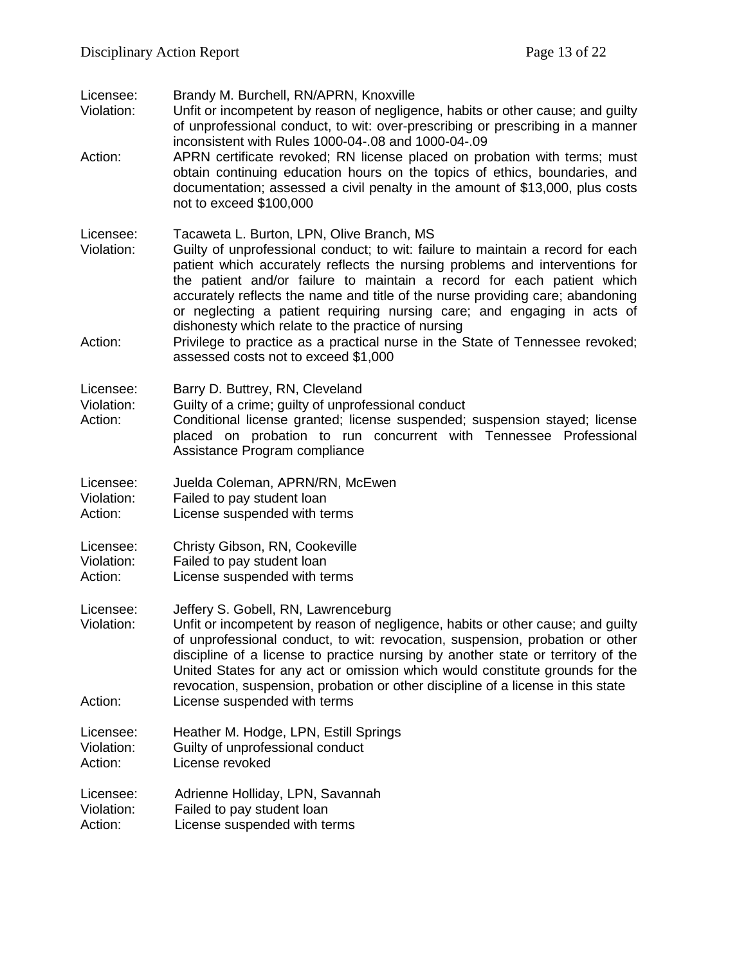| Licensee:<br>Violation:<br>Action: | Brandy M. Burchell, RN/APRN, Knoxville<br>Unfit or incompetent by reason of negligence, habits or other cause; and guilty<br>of unprofessional conduct, to wit: over-prescribing or prescribing in a manner<br>inconsistent with Rules 1000-04-.08 and 1000-04-.09<br>APRN certificate revoked; RN license placed on probation with terms; must<br>obtain continuing education hours on the topics of ethics, boundaries, and<br>documentation; assessed a civil penalty in the amount of \$13,000, plus costs<br>not to exceed \$100,000                                                  |
|------------------------------------|--------------------------------------------------------------------------------------------------------------------------------------------------------------------------------------------------------------------------------------------------------------------------------------------------------------------------------------------------------------------------------------------------------------------------------------------------------------------------------------------------------------------------------------------------------------------------------------------|
| Licensee:<br>Violation:<br>Action: | Tacaweta L. Burton, LPN, Olive Branch, MS<br>Guilty of unprofessional conduct; to wit: failure to maintain a record for each<br>patient which accurately reflects the nursing problems and interventions for<br>the patient and/or failure to maintain a record for each patient which<br>accurately reflects the name and title of the nurse providing care; abandoning<br>or neglecting a patient requiring nursing care; and engaging in acts of<br>dishonesty which relate to the practice of nursing<br>Privilege to practice as a practical nurse in the State of Tennessee revoked; |
|                                    | assessed costs not to exceed \$1,000                                                                                                                                                                                                                                                                                                                                                                                                                                                                                                                                                       |
| Licensee:<br>Violation:<br>Action: | Barry D. Buttrey, RN, Cleveland<br>Guilty of a crime; guilty of unprofessional conduct<br>Conditional license granted; license suspended; suspension stayed; license<br>placed on probation to run concurrent with Tennessee Professional<br>Assistance Program compliance                                                                                                                                                                                                                                                                                                                 |
| Licensee:<br>Violation:<br>Action: | Juelda Coleman, APRN/RN, McEwen<br>Failed to pay student loan<br>License suspended with terms                                                                                                                                                                                                                                                                                                                                                                                                                                                                                              |
| Licensee:<br>Violation:<br>Action: | Christy Gibson, RN, Cookeville<br>Failed to pay student loan<br>License suspended with terms                                                                                                                                                                                                                                                                                                                                                                                                                                                                                               |
| Licensee:<br>Violation:            | Jeffery S. Gobell, RN, Lawrenceburg<br>Unfit or incompetent by reason of negligence, habits or other cause; and guilty<br>of unprofessional conduct, to wit: revocation, suspension, probation or other<br>discipline of a license to practice nursing by another state or territory of the<br>United States for any act or omission which would constitute grounds for the<br>revocation, suspension, probation or other discipline of a license in this state                                                                                                                            |
| Action:                            | License suspended with terms                                                                                                                                                                                                                                                                                                                                                                                                                                                                                                                                                               |
| Licensee:<br>Violation:<br>Action: | Heather M. Hodge, LPN, Estill Springs<br>Guilty of unprofessional conduct<br>License revoked                                                                                                                                                                                                                                                                                                                                                                                                                                                                                               |
| Licensee:<br>Violation:<br>Action: | Adrienne Holliday, LPN, Savannah<br>Failed to pay student loan<br>License suspended with terms                                                                                                                                                                                                                                                                                                                                                                                                                                                                                             |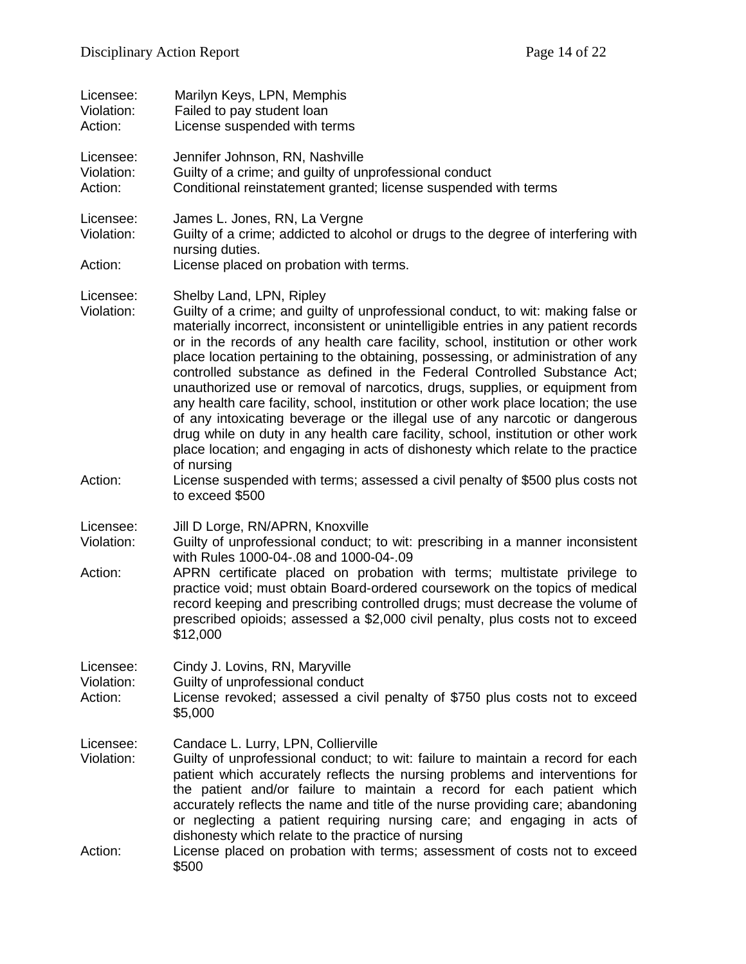| Licensee:<br>Violation:<br>Action: | Marilyn Keys, LPN, Memphis<br>Failed to pay student loan<br>License suspended with terms                                                                                                                                                                                                                                                                                                                                                                                                                                                                                                                                                                                                                                                                                                                                                                                                             |
|------------------------------------|------------------------------------------------------------------------------------------------------------------------------------------------------------------------------------------------------------------------------------------------------------------------------------------------------------------------------------------------------------------------------------------------------------------------------------------------------------------------------------------------------------------------------------------------------------------------------------------------------------------------------------------------------------------------------------------------------------------------------------------------------------------------------------------------------------------------------------------------------------------------------------------------------|
| Licensee:<br>Violation:<br>Action: | Jennifer Johnson, RN, Nashville<br>Guilty of a crime; and guilty of unprofessional conduct<br>Conditional reinstatement granted; license suspended with terms                                                                                                                                                                                                                                                                                                                                                                                                                                                                                                                                                                                                                                                                                                                                        |
| Licensee:<br>Violation:            | James L. Jones, RN, La Vergne<br>Guilty of a crime; addicted to alcohol or drugs to the degree of interfering with<br>nursing duties.                                                                                                                                                                                                                                                                                                                                                                                                                                                                                                                                                                                                                                                                                                                                                                |
| Action:                            | License placed on probation with terms.                                                                                                                                                                                                                                                                                                                                                                                                                                                                                                                                                                                                                                                                                                                                                                                                                                                              |
| Licensee:<br>Violation:            | Shelby Land, LPN, Ripley<br>Guilty of a crime; and guilty of unprofessional conduct, to wit: making false or<br>materially incorrect, inconsistent or unintelligible entries in any patient records<br>or in the records of any health care facility, school, institution or other work<br>place location pertaining to the obtaining, possessing, or administration of any<br>controlled substance as defined in the Federal Controlled Substance Act;<br>unauthorized use or removal of narcotics, drugs, supplies, or equipment from<br>any health care facility, school, institution or other work place location; the use<br>of any intoxicating beverage or the illegal use of any narcotic or dangerous<br>drug while on duty in any health care facility, school, institution or other work<br>place location; and engaging in acts of dishonesty which relate to the practice<br>of nursing |
| Action:                            | License suspended with terms; assessed a civil penalty of \$500 plus costs not<br>to exceed \$500                                                                                                                                                                                                                                                                                                                                                                                                                                                                                                                                                                                                                                                                                                                                                                                                    |
| Licensee:<br>Violation:<br>Action: | Jill D Lorge, RN/APRN, Knoxville<br>Guilty of unprofessional conduct; to wit: prescribing in a manner inconsistent<br>with Rules 1000-04-.08 and 1000-04-.09<br>APRN certificate placed on probation with terms; multistate privilege to<br>practice void; must obtain Board-ordered coursework on the topics of medical<br>record keeping and prescribing controlled drugs; must decrease the volume of<br>prescribed opioids; assessed a \$2,000 civil penalty, plus costs not to exceed<br>\$12,000                                                                                                                                                                                                                                                                                                                                                                                               |
| Licensee:<br>Violation:<br>Action: | Cindy J. Lovins, RN, Maryville<br>Guilty of unprofessional conduct<br>License revoked; assessed a civil penalty of \$750 plus costs not to exceed<br>\$5,000                                                                                                                                                                                                                                                                                                                                                                                                                                                                                                                                                                                                                                                                                                                                         |
| Licensee:<br>Violation:            | Candace L. Lurry, LPN, Collierville<br>Guilty of unprofessional conduct; to wit: failure to maintain a record for each<br>patient which accurately reflects the nursing problems and interventions for<br>the patient and/or failure to maintain a record for each patient which<br>accurately reflects the name and title of the nurse providing care; abandoning<br>or neglecting a patient requiring nursing care; and engaging in acts of<br>dishonesty which relate to the practice of nursing                                                                                                                                                                                                                                                                                                                                                                                                  |
| Action:                            | License placed on probation with terms; assessment of costs not to exceed<br>\$500                                                                                                                                                                                                                                                                                                                                                                                                                                                                                                                                                                                                                                                                                                                                                                                                                   |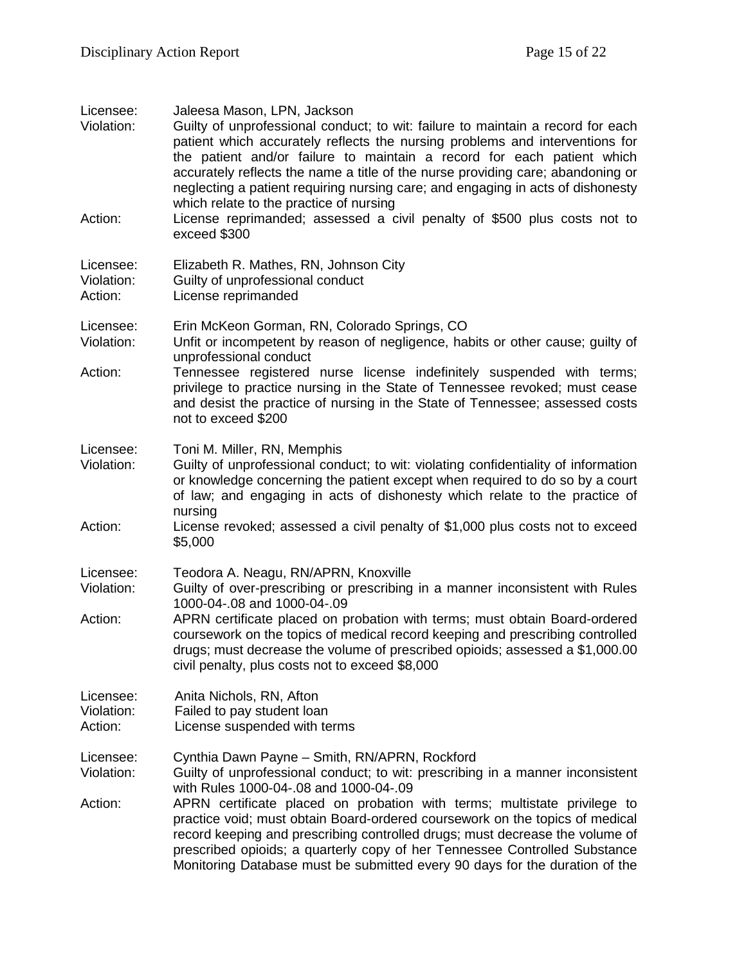| Licensee:<br>Violation:<br>Action: | Jaleesa Mason, LPN, Jackson<br>Guilty of unprofessional conduct; to wit: failure to maintain a record for each<br>patient which accurately reflects the nursing problems and interventions for<br>the patient and/or failure to maintain a record for each patient which<br>accurately reflects the name a title of the nurse providing care; abandoning or<br>neglecting a patient requiring nursing care; and engaging in acts of dishonesty<br>which relate to the practice of nursing<br>License reprimanded; assessed a civil penalty of \$500 plus costs not to |
|------------------------------------|-----------------------------------------------------------------------------------------------------------------------------------------------------------------------------------------------------------------------------------------------------------------------------------------------------------------------------------------------------------------------------------------------------------------------------------------------------------------------------------------------------------------------------------------------------------------------|
|                                    | exceed \$300                                                                                                                                                                                                                                                                                                                                                                                                                                                                                                                                                          |
| Licensee:<br>Violation:<br>Action: | Elizabeth R. Mathes, RN, Johnson City<br>Guilty of unprofessional conduct<br>License reprimanded                                                                                                                                                                                                                                                                                                                                                                                                                                                                      |
| Licensee:<br>Violation:            | Erin McKeon Gorman, RN, Colorado Springs, CO<br>Unfit or incompetent by reason of negligence, habits or other cause; guilty of<br>unprofessional conduct                                                                                                                                                                                                                                                                                                                                                                                                              |
| Action:                            | Tennessee registered nurse license indefinitely suspended with terms;<br>privilege to practice nursing in the State of Tennessee revoked; must cease<br>and desist the practice of nursing in the State of Tennessee; assessed costs<br>not to exceed \$200                                                                                                                                                                                                                                                                                                           |
| Licensee:<br>Violation:            | Toni M. Miller, RN, Memphis<br>Guilty of unprofessional conduct; to wit: violating confidentiality of information<br>or knowledge concerning the patient except when required to do so by a court<br>of law; and engaging in acts of dishonesty which relate to the practice of<br>nursing                                                                                                                                                                                                                                                                            |
| Action:                            | License revoked; assessed a civil penalty of \$1,000 plus costs not to exceed<br>\$5,000                                                                                                                                                                                                                                                                                                                                                                                                                                                                              |
| Licensee:<br>Violation:            | Teodora A. Neagu, RN/APRN, Knoxville<br>Guilty of over-prescribing or prescribing in a manner inconsistent with Rules<br>1000-04-.08 and 1000-04-.09                                                                                                                                                                                                                                                                                                                                                                                                                  |
| Action:                            | APRN certificate placed on probation with terms; must obtain Board-ordered<br>coursework on the topics of medical record keeping and prescribing controlled<br>drugs; must decrease the volume of prescribed opioids; assessed a \$1,000.00<br>civil penalty, plus costs not to exceed \$8,000                                                                                                                                                                                                                                                                        |
| Licensee:<br>Violation:<br>Action: | Anita Nichols, RN, Afton<br>Failed to pay student loan<br>License suspended with terms                                                                                                                                                                                                                                                                                                                                                                                                                                                                                |
| Licensee:<br>Violation:            | Cynthia Dawn Payne - Smith, RN/APRN, Rockford<br>Guilty of unprofessional conduct; to wit: prescribing in a manner inconsistent<br>with Rules 1000-04-.08 and 1000-04-.09                                                                                                                                                                                                                                                                                                                                                                                             |
| Action:                            | APRN certificate placed on probation with terms; multistate privilege to<br>practice void; must obtain Board-ordered coursework on the topics of medical<br>record keeping and prescribing controlled drugs; must decrease the volume of<br>prescribed opioids; a quarterly copy of her Tennessee Controlled Substance<br>Monitoring Database must be submitted every 90 days for the duration of the                                                                                                                                                                 |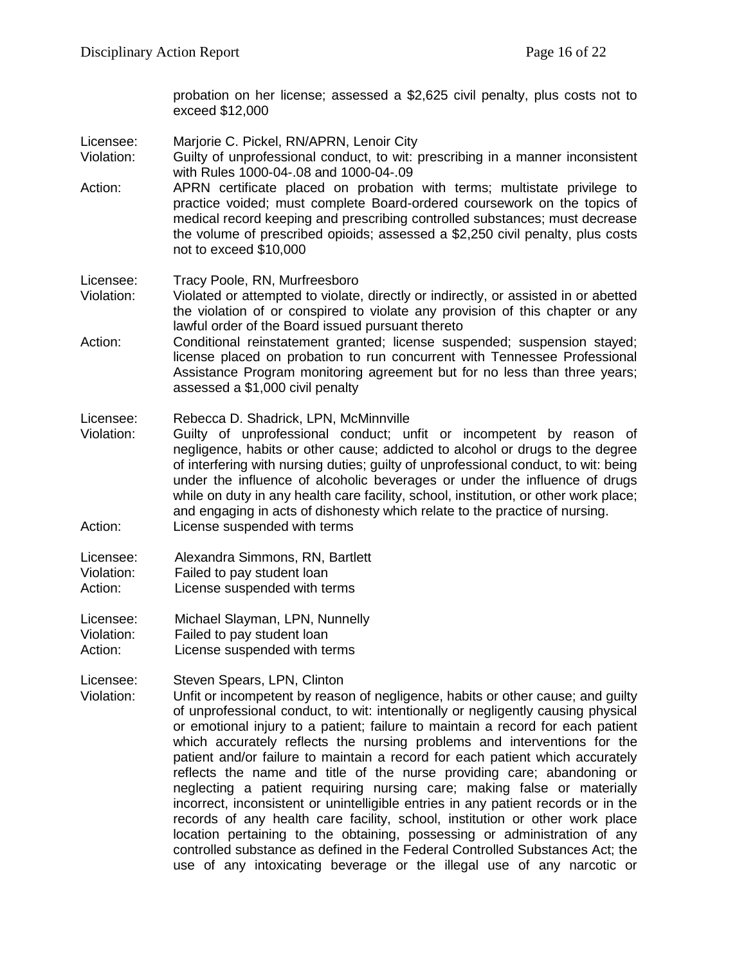probation on her license; assessed a \$2,625 civil penalty, plus costs not to exceed \$12,000

- Licensee: Marjorie C. Pickel, RN/APRN, Lenoir City
- Violation: Guilty of unprofessional conduct, to wit: prescribing in a manner inconsistent with Rules 1000-04-.08 and 1000-04-.09
- Action: APRN certificate placed on probation with terms; multistate privilege to practice voided; must complete Board-ordered coursework on the topics of medical record keeping and prescribing controlled substances; must decrease the volume of prescribed opioids; assessed a \$2,250 civil penalty, plus costs not to exceed \$10,000

Licensee: Tracy Poole, RN, Murfreesboro

- Violation: Violated or attempted to violate, directly or indirectly, or assisted in or abetted the violation of or conspired to violate any provision of this chapter or any lawful order of the Board issued pursuant thereto
- Action: Conditional reinstatement granted; license suspended; suspension stayed; license placed on probation to run concurrent with Tennessee Professional Assistance Program monitoring agreement but for no less than three years; assessed a \$1,000 civil penalty

### Licensee: Rebecca D. Shadrick, LPN, McMinnville

Violation: Guilty of unprofessional conduct; unfit or incompetent by reason of negligence, habits or other cause; addicted to alcohol or drugs to the degree of interfering with nursing duties; guilty of unprofessional conduct, to wit: being under the influence of alcoholic beverages or under the influence of drugs while on duty in any health care facility, school, institution, or other work place; and engaging in acts of dishonesty which relate to the practice of nursing. Action: License suspended with terms

| Licensee:  | Alexandra Simmons, RN, Bartlett |
|------------|---------------------------------|
| Violation: | Failed to pay student loan      |
| Action:    | License suspended with terms    |

| Licensee:  | Michael Slayman, LPN, Nunnelly |
|------------|--------------------------------|
| Violation: | Failed to pay student loan     |
| Action:    | License suspended with terms   |

### Licensee: Steven Spears, LPN, Clinton

Violation: Unfit or incompetent by reason of negligence, habits or other cause; and guilty of unprofessional conduct, to wit: intentionally or negligently causing physical or emotional injury to a patient; failure to maintain a record for each patient which accurately reflects the nursing problems and interventions for the patient and/or failure to maintain a record for each patient which accurately reflects the name and title of the nurse providing care; abandoning or neglecting a patient requiring nursing care; making false or materially incorrect, inconsistent or unintelligible entries in any patient records or in the records of any health care facility, school, institution or other work place location pertaining to the obtaining, possessing or administration of any controlled substance as defined in the Federal Controlled Substances Act; the use of any intoxicating beverage or the illegal use of any narcotic or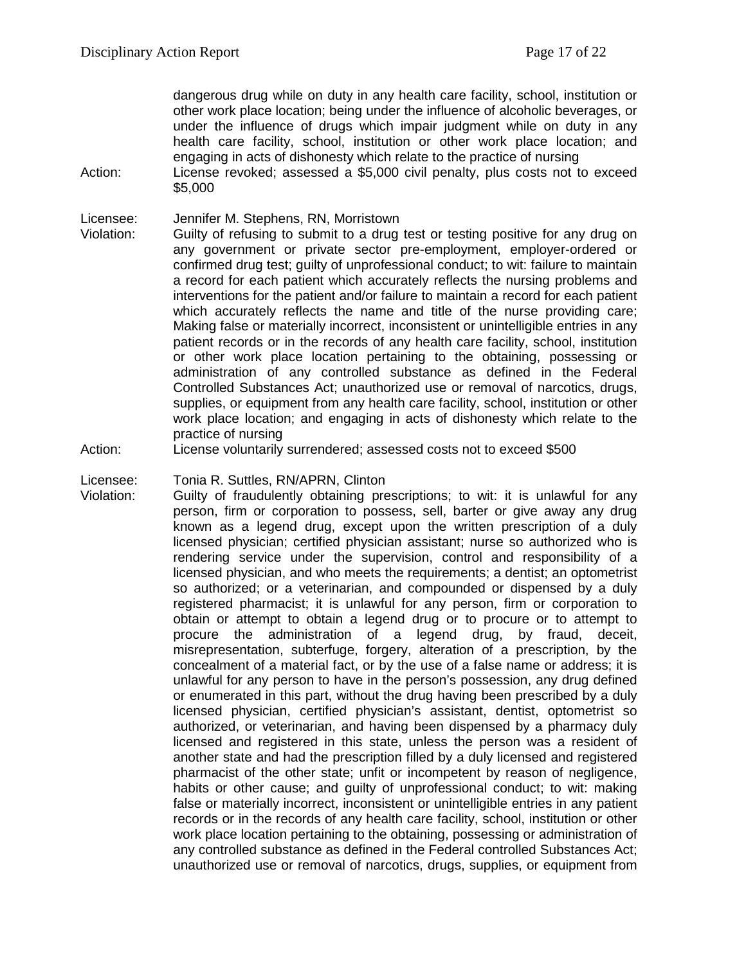dangerous drug while on duty in any health care facility, school, institution or other work place location; being under the influence of alcoholic beverages, or under the influence of drugs which impair judgment while on duty in any health care facility, school, institution or other work place location; and engaging in acts of dishonesty which relate to the practice of nursing

Action: License revoked; assessed a \$5,000 civil penalty, plus costs not to exceed \$5,000

Licensee: Jennifer M. Stephens, RN, Morristown

Violation: Guilty of refusing to submit to a drug test or testing positive for any drug on any government or private sector pre-employment, employer-ordered or confirmed drug test; guilty of unprofessional conduct; to wit: failure to maintain a record for each patient which accurately reflects the nursing problems and interventions for the patient and/or failure to maintain a record for each patient which accurately reflects the name and title of the nurse providing care; Making false or materially incorrect, inconsistent or unintelligible entries in any patient records or in the records of any health care facility, school, institution or other work place location pertaining to the obtaining, possessing or administration of any controlled substance as defined in the Federal Controlled Substances Act; unauthorized use or removal of narcotics, drugs, supplies, or equipment from any health care facility, school, institution or other work place location; and engaging in acts of dishonesty which relate to the practice of nursing

Action: License voluntarily surrendered; assessed costs not to exceed \$500

Licensee: Tonia R. Suttles, RN/APRN, Clinton

Violation: Guilty of fraudulently obtaining prescriptions; to wit: it is unlawful for any person, firm or corporation to possess, sell, barter or give away any drug known as a legend drug, except upon the written prescription of a duly licensed physician; certified physician assistant; nurse so authorized who is rendering service under the supervision, control and responsibility of a licensed physician, and who meets the requirements; a dentist; an optometrist so authorized; or a veterinarian, and compounded or dispensed by a duly registered pharmacist; it is unlawful for any person, firm or corporation to obtain or attempt to obtain a legend drug or to procure or to attempt to procure the administration of a legend drug, by fraud, deceit, misrepresentation, subterfuge, forgery, alteration of a prescription, by the concealment of a material fact, or by the use of a false name or address; it is unlawful for any person to have in the person's possession, any drug defined or enumerated in this part, without the drug having been prescribed by a duly licensed physician, certified physician's assistant, dentist, optometrist so authorized, or veterinarian, and having been dispensed by a pharmacy duly licensed and registered in this state, unless the person was a resident of another state and had the prescription filled by a duly licensed and registered pharmacist of the other state; unfit or incompetent by reason of negligence, habits or other cause; and guilty of unprofessional conduct; to wit: making false or materially incorrect, inconsistent or unintelligible entries in any patient records or in the records of any health care facility, school, institution or other work place location pertaining to the obtaining, possessing or administration of any controlled substance as defined in the Federal controlled Substances Act; unauthorized use or removal of narcotics, drugs, supplies, or equipment from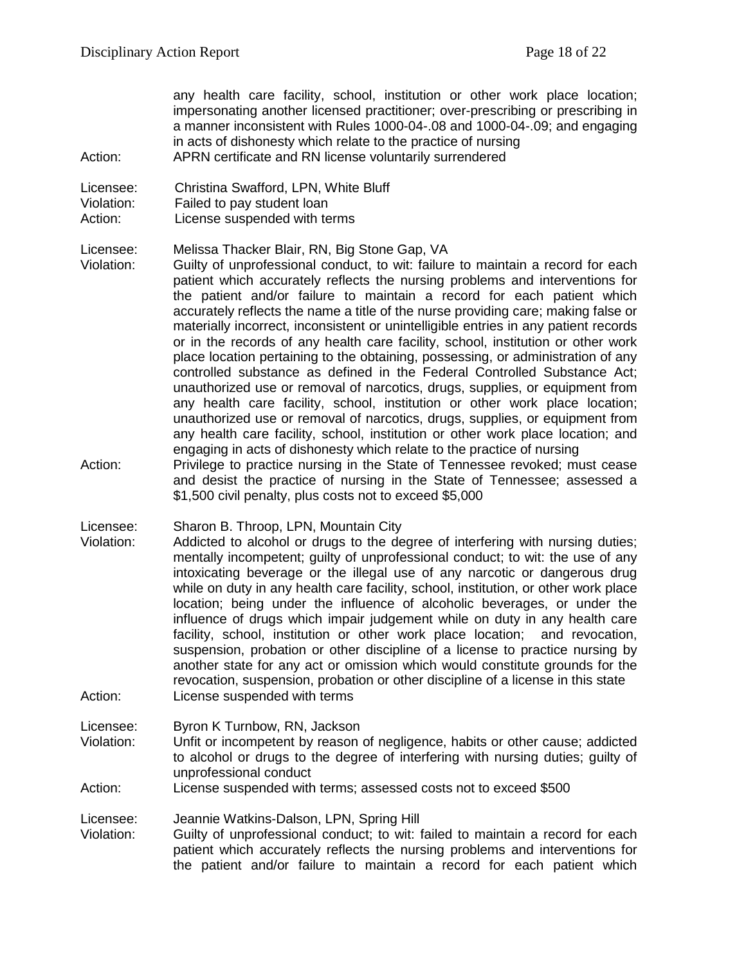any health care facility, school, institution or other work place location; impersonating another licensed practitioner; over-prescribing or prescribing in a manner inconsistent with Rules 1000-04-.08 and 1000-04-.09; and engaging in acts of dishonesty which relate to the practice of nursing Action: APRN certificate and RN license voluntarily surrendered

Licensee: Christina Swafford, LPN, White Bluff Violation: Failed to pay student loan

Action: License suspended with terms

Licensee: Melissa Thacker Blair, RN, Big Stone Gap, VA

Violation: Guilty of unprofessional conduct, to wit: failure to maintain a record for each patient which accurately reflects the nursing problems and interventions for the patient and/or failure to maintain a record for each patient which accurately reflects the name a title of the nurse providing care; making false or materially incorrect, inconsistent or unintelligible entries in any patient records or in the records of any health care facility, school, institution or other work place location pertaining to the obtaining, possessing, or administration of any controlled substance as defined in the Federal Controlled Substance Act; unauthorized use or removal of narcotics, drugs, supplies, or equipment from any health care facility, school, institution or other work place location; unauthorized use or removal of narcotics, drugs, supplies, or equipment from any health care facility, school, institution or other work place location; and engaging in acts of dishonesty which relate to the practice of nursing

Action: Privilege to practice nursing in the State of Tennessee revoked; must cease and desist the practice of nursing in the State of Tennessee; assessed a \$1,500 civil penalty, plus costs not to exceed \$5,000

Licensee: Sharon B. Throop, LPN, Mountain City

Violation: Addicted to alcohol or drugs to the degree of interfering with nursing duties; mentally incompetent; guilty of unprofessional conduct; to wit: the use of any intoxicating beverage or the illegal use of any narcotic or dangerous drug while on duty in any health care facility, school, institution, or other work place location; being under the influence of alcoholic beverages, or under the influence of drugs which impair judgement while on duty in any health care facility, school, institution or other work place location; and revocation, suspension, probation or other discipline of a license to practice nursing by another state for any act or omission which would constitute grounds for the revocation, suspension, probation or other discipline of a license in this state Action: License suspended with terms

Licensee: Byron K Turnbow, RN, Jackson

Violation: Unfit or incompetent by reason of negligence, habits or other cause; addicted to alcohol or drugs to the degree of interfering with nursing duties; guilty of unprofessional conduct

Action: License suspended with terms; assessed costs not to exceed \$500

Licensee: Jeannie Watkins-Dalson, LPN, Spring Hill

Violation: Guilty of unprofessional conduct; to wit: failed to maintain a record for each patient which accurately reflects the nursing problems and interventions for the patient and/or failure to maintain a record for each patient which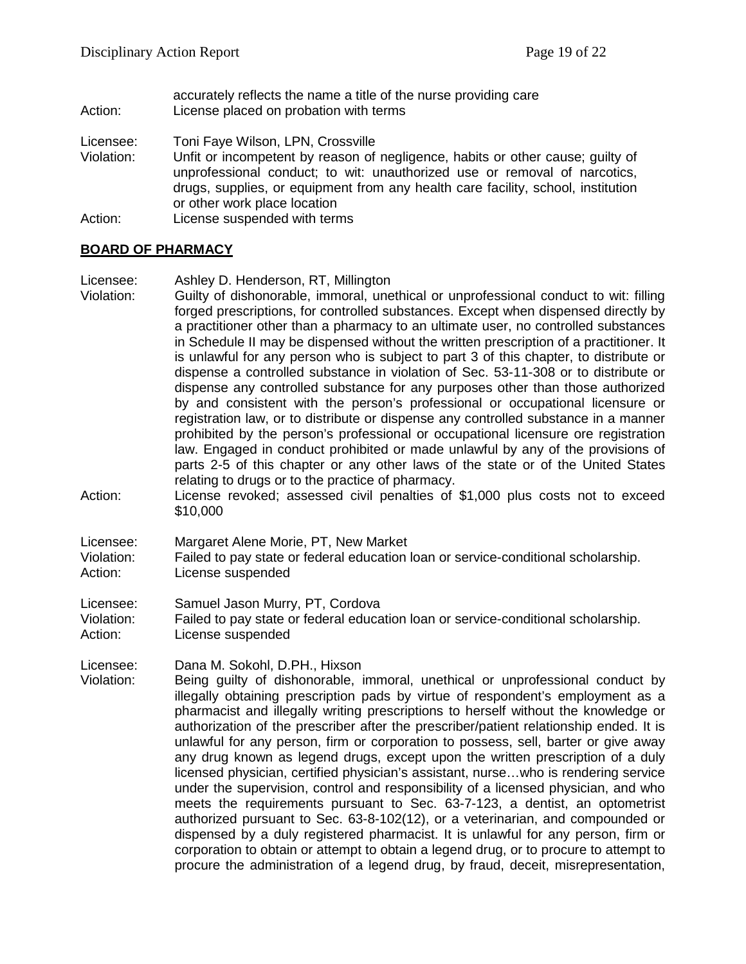accurately reflects the name a title of the nurse providing care Action: License placed on probation with terms

Licensee: Toni Faye Wilson, LPN, Crossville

Violation: Unfit or incompetent by reason of negligence, habits or other cause; guilty of unprofessional conduct; to wit: unauthorized use or removal of narcotics, drugs, supplies, or equipment from any health care facility, school, institution or other work place location Action: License suspended with terms

### **BOARD OF PHARMACY**

- Licensee: Ashley D. Henderson, RT, Millington
- Violation: Guilty of dishonorable, immoral, unethical or unprofessional conduct to wit: filling forged prescriptions, for controlled substances. Except when dispensed directly by a practitioner other than a pharmacy to an ultimate user, no controlled substances in Schedule II may be dispensed without the written prescription of a practitioner. It is unlawful for any person who is subject to part 3 of this chapter, to distribute or dispense a controlled substance in violation of Sec. 53-11-308 or to distribute or dispense any controlled substance for any purposes other than those authorized by and consistent with the person's professional or occupational licensure or registration law, or to distribute or dispense any controlled substance in a manner prohibited by the person's professional or occupational licensure ore registration law. Engaged in conduct prohibited or made unlawful by any of the provisions of parts 2-5 of this chapter or any other laws of the state or of the United States relating to drugs or to the practice of pharmacy.
- Action: License revoked; assessed civil penalties of \$1,000 plus costs not to exceed \$10,000
- Licensee: Margaret Alene Morie, PT, New Market Violation: Failed to pay state or federal education loan or service-conditional scholarship. Action: License suspended

Licensee: Samuel Jason Murry, PT, Cordova

Violation: Failed to pay state or federal education loan or service-conditional scholarship. Action: License suspended

Licensee: Dana M. Sokohl, D.PH., Hixson<br>Violation: Being quilty of dishonorable. i

Being guilty of dishonorable, immoral, unethical or unprofessional conduct by illegally obtaining prescription pads by virtue of respondent's employment as a pharmacist and illegally writing prescriptions to herself without the knowledge or authorization of the prescriber after the prescriber/patient relationship ended. It is unlawful for any person, firm or corporation to possess, sell, barter or give away any drug known as legend drugs, except upon the written prescription of a duly licensed physician, certified physician's assistant, nurse…who is rendering service under the supervision, control and responsibility of a licensed physician, and who meets the requirements pursuant to Sec. 63-7-123, a dentist, an optometrist authorized pursuant to Sec. 63-8-102(12), or a veterinarian, and compounded or dispensed by a duly registered pharmacist. It is unlawful for any person, firm or corporation to obtain or attempt to obtain a legend drug, or to procure to attempt to procure the administration of a legend drug, by fraud, deceit, misrepresentation,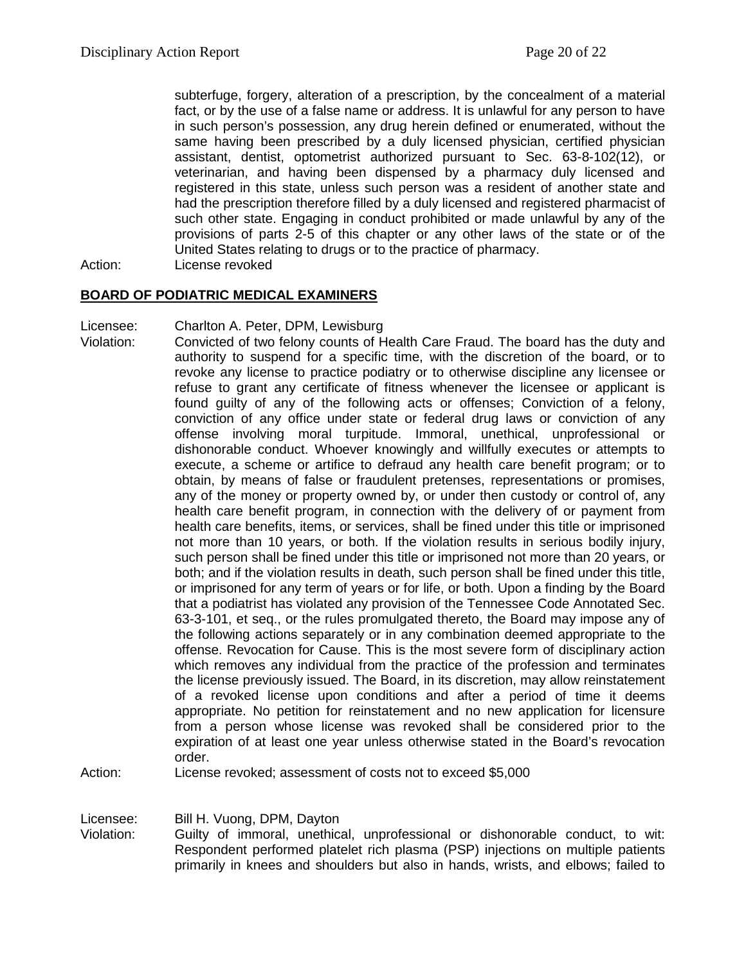subterfuge, forgery, alteration of a prescription, by the concealment of a material fact, or by the use of a false name or address. It is unlawful for any person to have in such person's possession, any drug herein defined or enumerated, without the same having been prescribed by a duly licensed physician, certified physician assistant, dentist, optometrist authorized pursuant to Sec. 63-8-102(12), or veterinarian, and having been dispensed by a pharmacy duly licensed and registered in this state, unless such person was a resident of another state and had the prescription therefore filled by a duly licensed and registered pharmacist of such other state. Engaging in conduct prohibited or made unlawful by any of the provisions of parts 2-5 of this chapter or any other laws of the state or of the United States relating to drugs or to the practice of pharmacy.

Action: License revoked

### **BOARD OF PODIATRIC MEDICAL EXAMINERS**

Licensee: Charlton A. Peter, DPM, Lewisburg

Violation: Convicted of two felony counts of Health Care Fraud. The board has the duty and authority to suspend for a specific time, with the discretion of the board, or to revoke any license to practice podiatry or to otherwise discipline any licensee or refuse to grant any certificate of fitness whenever the licensee or applicant is found guilty of any of the following acts or offenses; Conviction of a felony, conviction of any office under state or federal drug laws or conviction of any offense involving moral turpitude. Immoral, unethical, unprofessional or dishonorable conduct. Whoever knowingly and willfully executes or attempts to execute, a scheme or artifice to defraud any health care benefit program; or to obtain, by means of false or fraudulent pretenses, representations or promises, any of the money or property owned by, or under then custody or control of, any health care benefit program, in connection with the delivery of or payment from health care benefits, items, or services, shall be fined under this title or imprisoned not more than 10 years, or both. If the violation results in serious bodily injury, such person shall be fined under this title or imprisoned not more than 20 years, or both; and if the violation results in death, such person shall be fined under this title, or imprisoned for any term of years or for life, or both. Upon a finding by the Board that a podiatrist has violated any provision of the Tennessee Code Annotated Sec. 63-3-101, et seq., or the rules promulgated thereto, the Board may impose any of the following actions separately or in any combination deemed appropriate to the offense. Revocation for Cause. This is the most severe form of disciplinary action which removes any individual from the practice of the profession and terminates the license previously issued. The Board, in its discretion, may allow reinstatement of a revoked license upon conditions and after a period of time it deems appropriate. No petition for reinstatement and no new application for licensure from a person whose license was revoked shall be considered prior to the expiration of at least one year unless otherwise stated in the Board's revocation order.

Action: License revoked; assessment of costs not to exceed \$5,000

#### Licensee: Bill H. Vuong, DPM, Dayton

Violation: Guilty of immoral, unethical, unprofessional or dishonorable conduct, to wit: Respondent performed platelet rich plasma (PSP) injections on multiple patients primarily in knees and shoulders but also in hands, wrists, and elbows; failed to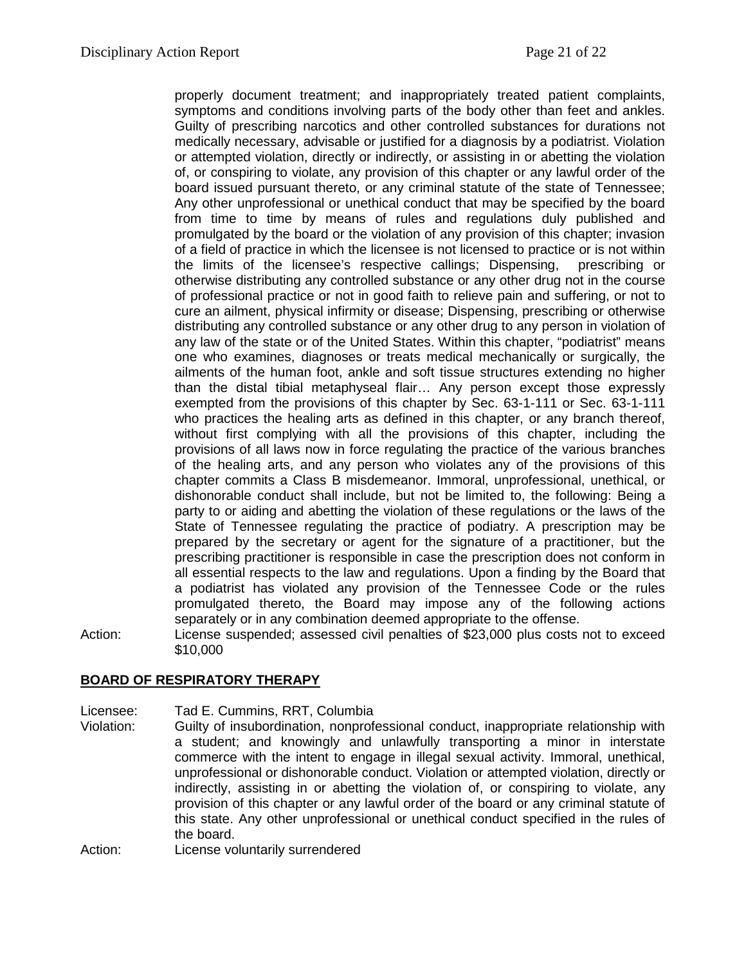properly document treatment; and inappropriately treated patient complaints, symptoms and conditions involving parts of the body other than feet and ankles. Guilty of prescribing narcotics and other controlled substances for durations not medically necessary, advisable or justified for a diagnosis by a podiatrist. Violation or attempted violation, directly or indirectly, or assisting in or abetting the violation of, or conspiring to violate, any provision of this chapter or any lawful order of the board issued pursuant thereto, or any criminal statute of the state of Tennessee; Any other unprofessional or unethical conduct that may be specified by the board from time to time by means of rules and regulations duly published and promulgated by the board or the violation of any provision of this chapter; invasion of a field of practice in which the licensee is not licensed to practice or is not within the limits of the licensee's respective callings; Dispensing, prescribing or otherwise distributing any controlled substance or any other drug not in the course of professional practice or not in good faith to relieve pain and suffering, or not to cure an ailment, physical infirmity or disease; Dispensing, prescribing or otherwise distributing any controlled substance or any other drug to any person in violation of any law of the state or of the United States. Within this chapter, "podiatrist" means one who examines, diagnoses or treats medical mechanically or surgically, the ailments of the human foot, ankle and soft tissue structures extending no higher than the distal tibial metaphyseal flair… Any person except those expressly exempted from the provisions of this chapter by Sec. 63-1-111 or Sec. 63-1-111 who practices the healing arts as defined in this chapter, or any branch thereof, without first complying with all the provisions of this chapter, including the provisions of all laws now in force regulating the practice of the various branches of the healing arts, and any person who violates any of the provisions of this chapter commits a Class B misdemeanor. Immoral, unprofessional, unethical, or dishonorable conduct shall include, but not be limited to, the following: Being a party to or aiding and abetting the violation of these regulations or the laws of the State of Tennessee regulating the practice of podiatry. A prescription may be prepared by the secretary or agent for the signature of a practitioner, but the prescribing practitioner is responsible in case the prescription does not conform in all essential respects to the law and regulations. Upon a finding by the Board that a podiatrist has violated any provision of the Tennessee Code or the rules promulgated thereto, the Board may impose any of the following actions separately or in any combination deemed appropriate to the offense.

Action: License suspended; assessed civil penalties of \$23,000 plus costs not to exceed \$10,000

# **BOARD OF RESPIRATORY THERAPY**

Licensee: Tad E. Cummins, RRT, Columbia

Violation: Guilty of insubordination, nonprofessional conduct, inappropriate relationship with a student; and knowingly and unlawfully transporting a minor in interstate commerce with the intent to engage in illegal sexual activity. Immoral, unethical, unprofessional or dishonorable conduct. Violation or attempted violation, directly or indirectly, assisting in or abetting the violation of, or conspiring to violate, any provision of this chapter or any lawful order of the board or any criminal statute of this state. Any other unprofessional or unethical conduct specified in the rules of the board.

Action: License voluntarily surrendered